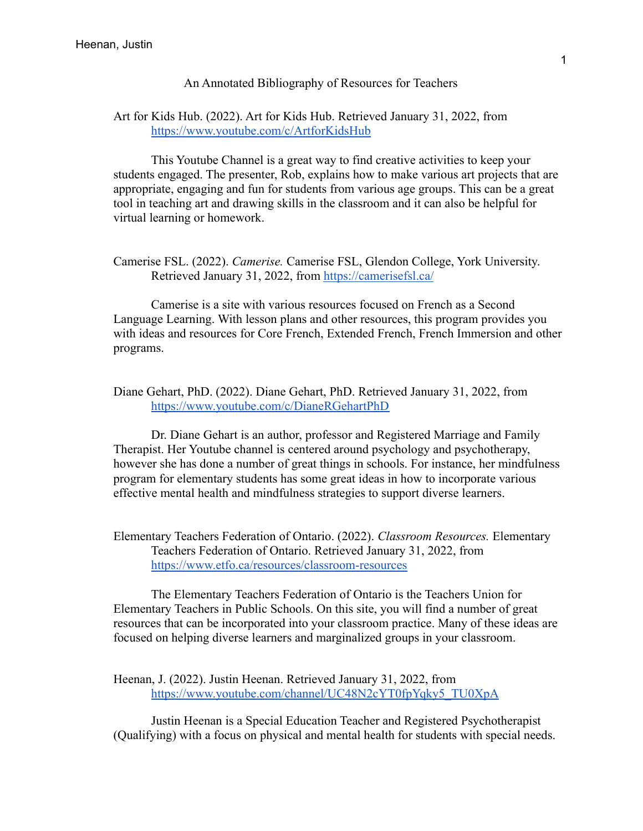## An Annotated Bibliography of Resources for Teachers

## Art for Kids Hub. (2022). Art for Kids Hub. Retrieved January 31, 2022, from <https://www.youtube.com/c/ArtforKidsHub>

This Youtube Channel is a great way to find creative activities to keep your students engaged. The presenter, Rob, explains how to make various art projects that are appropriate, engaging and fun for students from various age groups. This can be a great tool in teaching art and drawing skills in the classroom and it can also be helpful for virtual learning or homework.

Camerise FSL. (2022). *Camerise.* Camerise FSL, Glendon College, York University. Retrieved January 31, 2022, from <https://camerisefsl.ca/>

Camerise is a site with various resources focused on French as a Second Language Learning. With lesson plans and other resources, this program provides you with ideas and resources for Core French, Extended French, French Immersion and other programs.

Diane Gehart, PhD. (2022). Diane Gehart, PhD. Retrieved January 31, 2022, from <https://www.youtube.com/c/DianeRGehartPhD>

Dr. Diane Gehart is an author, professor and Registered Marriage and Family Therapist. Her Youtube channel is centered around psychology and psychotherapy, however she has done a number of great things in schools. For instance, her mindfulness program for elementary students has some great ideas in how to incorporate various effective mental health and mindfulness strategies to support diverse learners.

Elementary Teachers Federation of Ontario. (2022). *Classroom Resources.* Elementary Teachers Federation of Ontario. Retrieved January 31, 2022, from <https://www.etfo.ca/resources/classroom-resources>

The Elementary Teachers Federation of Ontario is the Teachers Union for Elementary Teachers in Public Schools. On this site, you will find a number of great resources that can be incorporated into your classroom practice. Many of these ideas are focused on helping diverse learners and marginalized groups in your classroom.

Heenan, J. (2022). Justin Heenan. Retrieved January 31, 2022, from [https://www.youtube.com/channel/UC48N2cYT0fpYqky5\\_TU0XpA](https://www.youtube.com/channel/UC48N2cYT0fpYqky5_TU0XpA)

Justin Heenan is a Special Education Teacher and Registered Psychotherapist (Qualifying) with a focus on physical and mental health for students with special needs.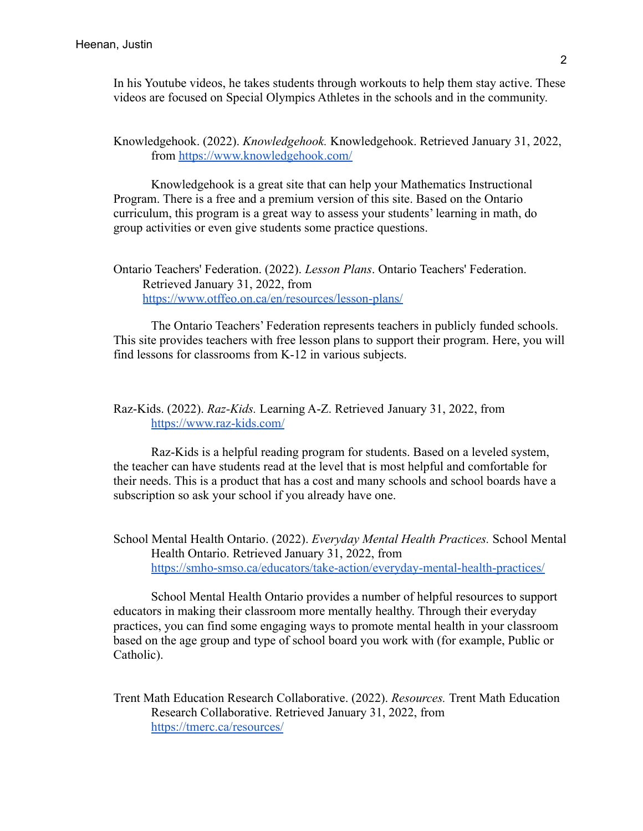In his Youtube videos, he takes students through workouts to help them stay active. These videos are focused on Special Olympics Athletes in the schools and in the community.

Knowledgehook. (2022). *Knowledgehook.* Knowledgehook. Retrieved January 31, 2022, from <https://www.knowledgehook.com/>

Knowledgehook is a great site that can help your Mathematics Instructional Program. There is a free and a premium version of this site. Based on the Ontario curriculum, this program is a great way to assess your students' learning in math, do group activities or even give students some practice questions.

Ontario Teachers' Federation. (2022). *Lesson Plans*. Ontario Teachers' Federation. Retrieved January 31, 2022, from <https://www.otffeo.on.ca/en/resources/lesson-plans/>

The Ontario Teachers' Federation represents teachers in publicly funded schools. This site provides teachers with free lesson plans to support their program. Here, you will find lessons for classrooms from K-12 in various subjects.

## Raz-Kids. (2022). *Raz-Kids.* Learning A-Z. Retrieved January 31, 2022, from <https://www.raz-kids.com/>

Raz-Kids is a helpful reading program for students. Based on a leveled system, the teacher can have students read at the level that is most helpful and comfortable for their needs. This is a product that has a cost and many schools and school boards have a subscription so ask your school if you already have one.

School Mental Health Ontario. (2022). *Everyday Mental Health Practices.* School Mental Health Ontario. Retrieved January 31, 2022, from <https://smho-smso.ca/educators/take-action/everyday-mental-health-practices/>

School Mental Health Ontario provides a number of helpful resources to support educators in making their classroom more mentally healthy. Through their everyday practices, you can find some engaging ways to promote mental health in your classroom based on the age group and type of school board you work with (for example, Public or Catholic).

Trent Math Education Research Collaborative. (2022). *Resources.* Trent Math Education Research Collaborative. Retrieved January 31, 2022, from <https://tmerc.ca/resources/>